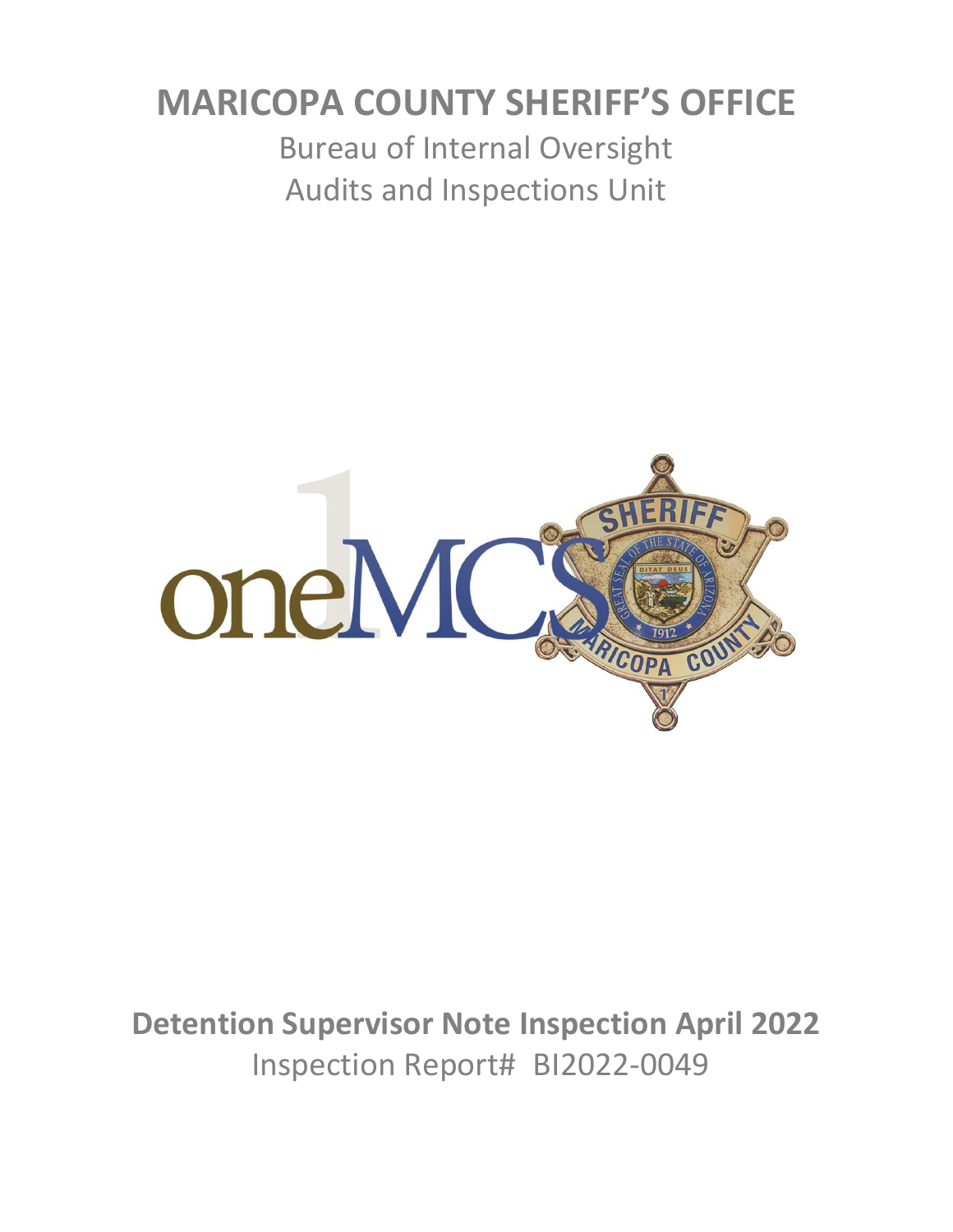# **MARICOPA COUNTY SHERIFF'S OFFICE**

Bureau of Internal Oversight Audits and Inspections Unit



**Detention Supervisor Note Inspection April 2022** Inspection Report# BI2022-0049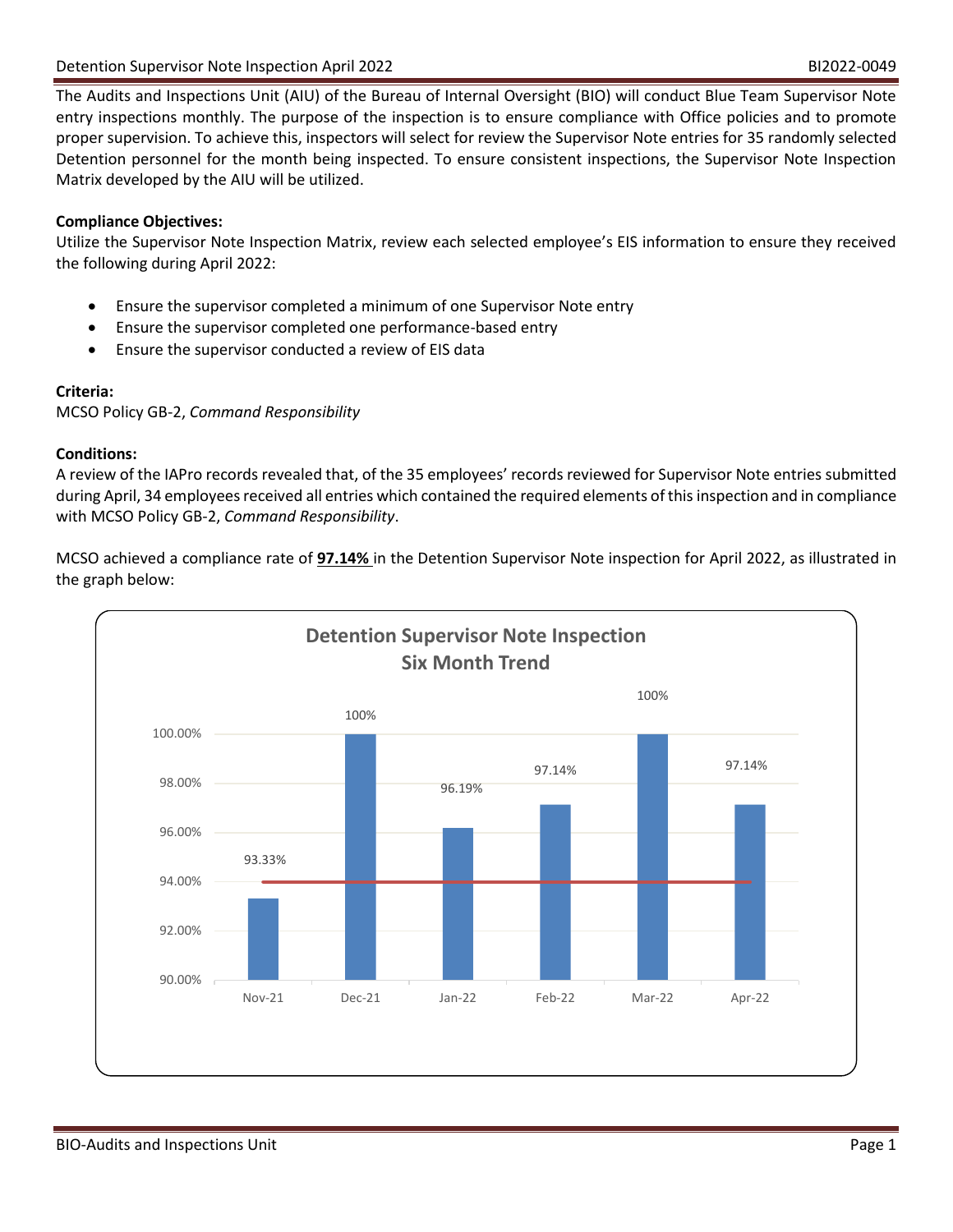The Audits and Inspections Unit (AIU) of the Bureau of Internal Oversight (BIO) will conduct Blue Team Supervisor Note entry inspections monthly. The purpose of the inspection is to ensure compliance with Office policies and to promote proper supervision. To achieve this, inspectors will select for review the Supervisor Note entries for 35 randomly selected Detention personnel for the month being inspected. To ensure consistent inspections, the Supervisor Note Inspection Matrix developed by the AIU will be utilized.

# **Compliance Objectives:**

Utilize the Supervisor Note Inspection Matrix, review each selected employee's EIS information to ensure they received the following during April 2022:

- Ensure the supervisor completed a minimum of one Supervisor Note entry
- Ensure the supervisor completed one performance-based entry
- Ensure the supervisor conducted a review of EIS data

## **Criteria:**

MCSO Policy GB-2, *Command Responsibility*

## **Conditions:**

A review of the IAPro records revealed that, of the 35 employees' records reviewed for Supervisor Note entries submitted during April, 34 employees received all entries which contained the required elements of this inspection and in compliance with MCSO Policy GB-2, *Command Responsibility*.

MCSO achieved a compliance rate of **97.14%** in the Detention Supervisor Note inspection for April 2022, as illustrated in the graph below:

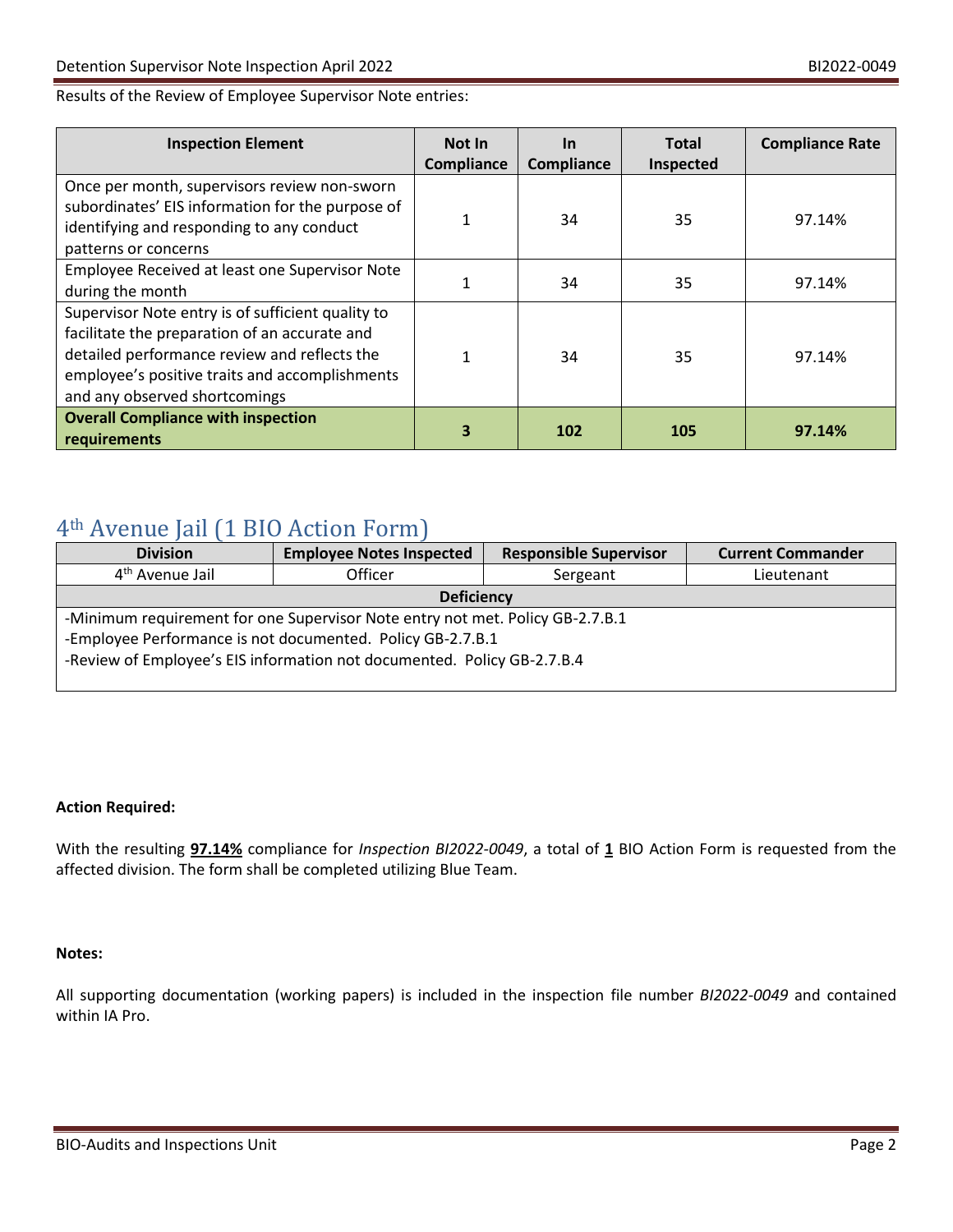#### Results of the Review of Employee Supervisor Note entries:

| <b>Inspection Element</b>                                                                                                                                                                                                             | <b>Not In</b><br>Compliance | <u>In</u><br>Compliance | <b>Total</b><br>Inspected | <b>Compliance Rate</b> |
|---------------------------------------------------------------------------------------------------------------------------------------------------------------------------------------------------------------------------------------|-----------------------------|-------------------------|---------------------------|------------------------|
| Once per month, supervisors review non-sworn<br>subordinates' EIS information for the purpose of<br>identifying and responding to any conduct<br>patterns or concerns                                                                 |                             | 34                      | 35                        | 97.14%                 |
| Employee Received at least one Supervisor Note<br>during the month                                                                                                                                                                    |                             | 34                      | 35                        | 97.14%                 |
| Supervisor Note entry is of sufficient quality to<br>facilitate the preparation of an accurate and<br>detailed performance review and reflects the<br>employee's positive traits and accomplishments<br>and any observed shortcomings |                             | 34                      | 35                        | 97.14%                 |
| <b>Overall Compliance with inspection</b><br>requirements                                                                                                                                                                             | 3                           | 102                     | 105                       | 97.14%                 |

# 4th Avenue Jail (1 BIO Action Form)

| <b>Division</b>                                                                                                                                                                                                        | <b>Employee Notes Inspected</b> | <b>Responsible Supervisor</b> | <b>Current Commander</b> |  |  |
|------------------------------------------------------------------------------------------------------------------------------------------------------------------------------------------------------------------------|---------------------------------|-------------------------------|--------------------------|--|--|
| 4 <sup>th</sup> Avenue Jail                                                                                                                                                                                            | Officer                         | Sergeant                      | Lieutenant               |  |  |
| <b>Deficiency</b>                                                                                                                                                                                                      |                                 |                               |                          |  |  |
| -Minimum requirement for one Supervisor Note entry not met. Policy GB-2.7.B.1<br>-Employee Performance is not documented. Policy GB-2.7.B.1<br>-Review of Employee's EIS information not documented. Policy GB-2.7.B.4 |                                 |                               |                          |  |  |

#### **Action Required:**

With the resulting **97.14%** compliance for *Inspection BI2022-0049*, a total of **1** BIO Action Form is requested from the affected division. The form shall be completed utilizing Blue Team.

#### **Notes:**

All supporting documentation (working papers) is included in the inspection file number *BI2022-0049* and contained within IA Pro.